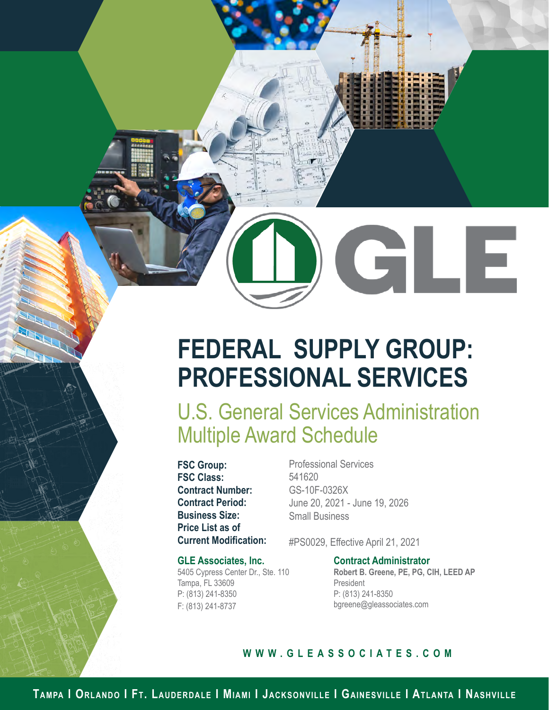GLE

# **FEDERAL SUPPLY GROUP: PROFESSIONAL SERVICES**

U.S. General Services Administration Multiple Award Schedule

**FSC Group: FSC Class: Contract Number: Contract Period: Business Size: Price List as of Current Modification:**

#### **GLE Associates, Inc.**

5405 Cypress Center Dr., Ste. 110 Tampa, FL 33609 P: (813) 241-8350 F: (813) 241-8737

Professional Services 541620 GS-10F-0326X June 20, 2021 - June 19, 2026 Small Business

#PS0029, Effective April 21, 2021

**Contract Administrator Robert B. Greene, PE, PG, CIH, LEED AP** President P: (813) 241-8350 bgreene@gleassociates.com

#### **WWW.GLEASSOCIATES.COM**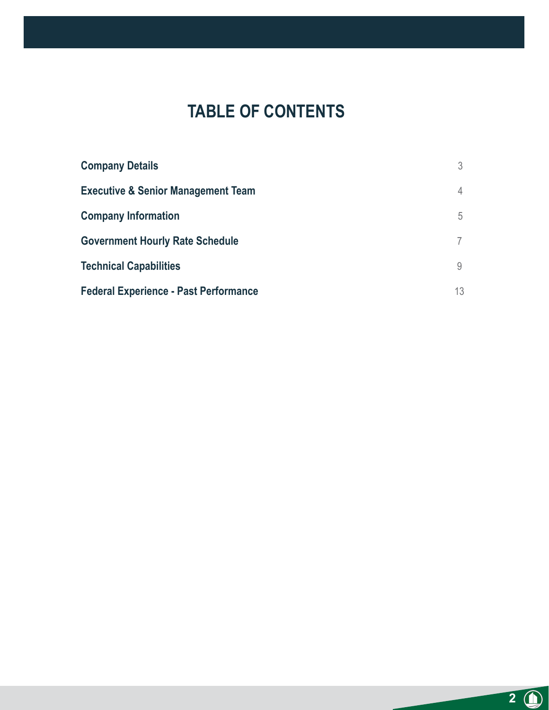## **TABLE OF CONTENTS**

| <b>Company Details</b>                        | 3  |
|-----------------------------------------------|----|
| <b>Executive &amp; Senior Management Team</b> | 4  |
| <b>Company Information</b>                    | 5  |
| <b>Government Hourly Rate Schedule</b>        |    |
| <b>Technical Capabilities</b>                 | 9  |
| <b>Federal Experience - Past Performance</b>  | 13 |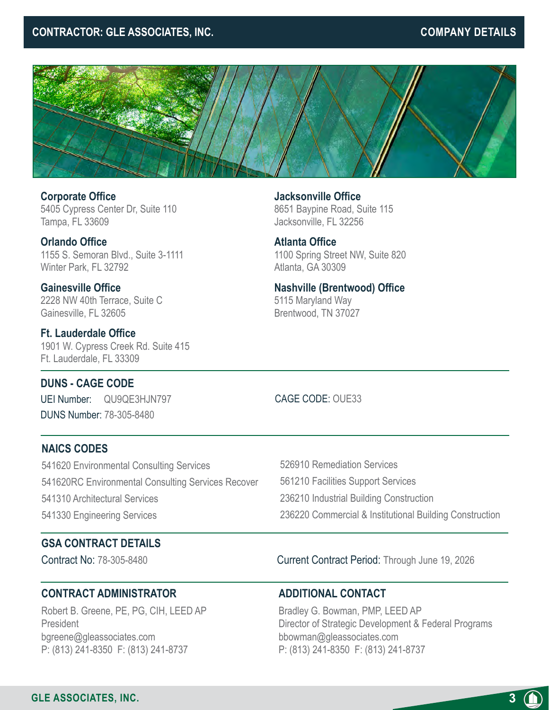#### **CONTRACTOR: GLE ASSOCIATES, INC.** The contraction of the company details of the company details



**Corporate Office** 5405 Cypress Center Dr, Suite 110 Tampa, FL 33609

**Orlando Office** 1155 S. Semoran Blvd., Suite 3-1111 Winter Park, FL 32792

**Gainesville Office** 2228 NW 40th Terrace, Suite C Gainesville, FL 32605

**Ft. Lauderdale Office** 1901 W. Cypress Creek Rd. Suite 415 Ft. Lauderdale, FL 33309

**Jacksonville Office** 8651 Baypine Road, Suite 115 Jacksonville, FL 32256

**Atlanta Office** 1100 Spring Street NW, Suite 820 Atlanta, GA 30309

**Nashville (Brentwood) Office** 5115 Maryland Way Brentwood, TN 37027

**DUNS - CAGE CODE**

UEI Number: QU9QE3HJN797 DUNS Number: 78-305-8480

CAGE CODE: OUE33

#### **NAICS CODES**

541620 Environmental Consulting Services 541620RC Environmental Consulting Services Recover 541310 Architectural Services 541330 Engineering Services

526910 Remediation Services 561210 Facilities Support Services 236210 Industrial Building Construction 236220 Commercial & Institutional Building Construction

#### **GSA CONTRACT DETAILS**

Contract No: 78-305-8480 Current Contract Period: Through June 19, 2026

#### **CONTRACT ADMINISTRATOR**

Robert B. Greene, PE, PG, CIH, LEED AP President bgreene@gleassociates.com P: (813) 241-8350 F: (813) 241-8737

#### **ADDITIONAL CONTACT**

Bradley G. Bowman, PMP, LEED AP Director of Strategic Development & Federal Programs bbowman@gleassociates.com P: (813) 241-8350 F: (813) 241-8737

**3**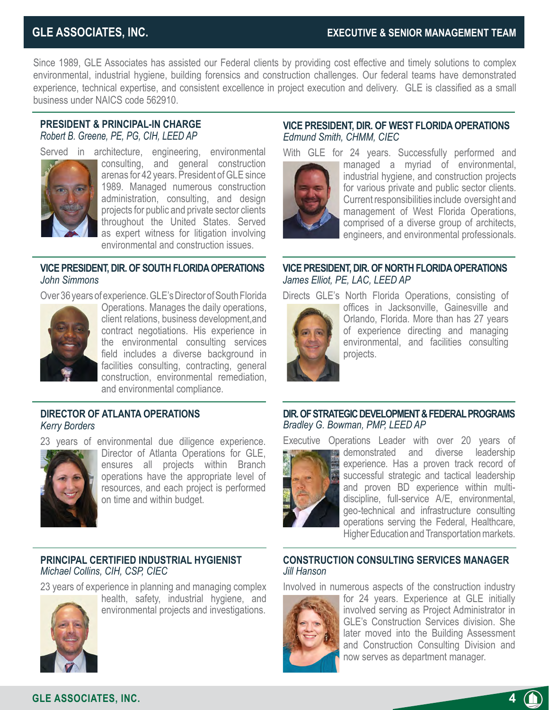Since 1989, GLE Associates has assisted our Federal clients by providing cost effective and timely solutions to complex environmental, industrial hygiene, building forensics and construction challenges. Our federal teams have demonstrated experience, technical expertise, and consistent excellence in project execution and delivery. GLE is classified as a small business under NAICS code 562910.

#### **PRESIDENT & PRINCIPAL-IN CHARGE** *Robert B. Greene, PE, PG, CIH, LEED AP*



Served in architecture, engineering, environmental consulting, and general construction arenas for 42 years. President of GLE since 1989. Managed numerous construction administration, consulting, and design projects for public and private sector clients throughout the United States. Served as expert witness for litigation involving environmental and construction issues.

#### **VICE PRESIDENT, DIR. OF SOUTH FLORIDA OPERATIONS** *John Simmons*

Over 36 years of experience. GLE's Director of South Florida



Operations. Manages the daily operations, client relations, business development,and contract negotiations. His experience in the environmental consulting services field includes a diverse background in facilities consulting, contracting, general construction, environmental remediation, and environmental compliance.

#### **DIRECTOR OF ATLANTA OPERATIONS** *Kerry Borders*

23 years of environmental due diligence experience.



Director of Atlanta Operations for GLE, ensures all projects within Branch operations have the appropriate level of resources, and each project is performed on time and within budget.

#### **PRINCIPAL CERTIFIED INDUSTRIAL HYGIENIST** *Michael Collins, CIH, CSP, CIEC*

23 years of experience in planning and managing complex



health, safety, industrial hygiene, and environmental projects and investigations.

## **VICE PRESIDENT, DIR. OF WEST FLORIDA OPERATIONS** *Edmund Smith, CHMM, CIEC*

With GLE for 24 years. Successfully performed and



managed a myriad of environmental, industrial hygiene, and construction projects for various private and public sector clients. Current responsibilities include oversight and management of West Florida Operations, comprised of a diverse group of architects, engineers, and environmental professionals.

#### **VICE PRESIDENT, DIR. OF NORTH FLORIDA OPERATIONS** *James Elliot, PE, LAC, LEED AP*

Directs GLE's North Florida Operations, consisting of



offices in Jacksonville, Gainesville and Orlando, Florida. More than has 27 years of experience directing and managing environmental, and facilities consulting projects.

#### **DIR. OF STRATEGIC DEVELOPMENT & FEDERAL PROGRAMS** *Bradley G. Bowman, PMP, LEED AP*

Executive Operations Leader with over 20 years of



demonstrated and diverse leadership experience. Has a proven track record of successful strategic and tactical leadership and proven BD experience within multidiscipline, full-service A/E, environmental, geo-technical and infrastructure consulting operations serving the Federal, Healthcare, Higher Education and Transportation markets.

#### **CONSTRUCTION CONSULTING SERVICES MANAGER**  *Jill Hanson*

Involved in numerous aspects of the construction industry



for 24 years. Experience at GLE initially involved serving as Project Administrator in GLE's Construction Services division. She later moved into the Building Assessment and Construction Consulting Division and now serves as department manager.

**GLE ASSOCIATES, INC.**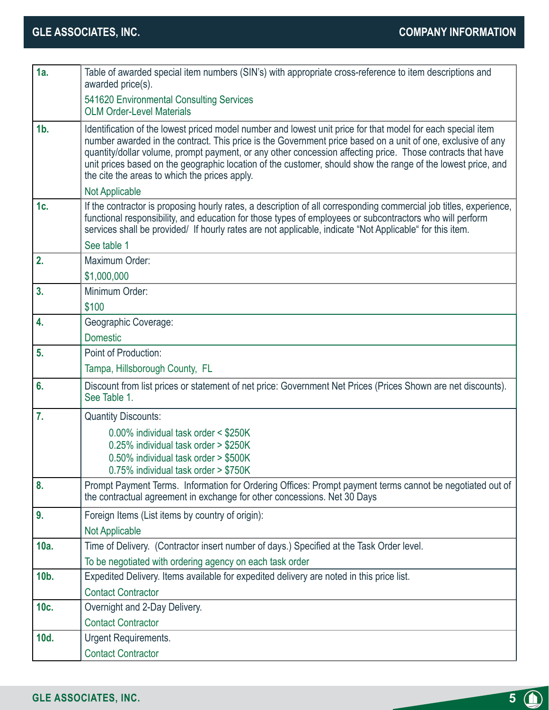| 1a.            | Table of awarded special item numbers (SIN's) with appropriate cross-reference to item descriptions and<br>awarded price(s).                                                                                                                                                                                                                                                                                                                                                                              |
|----------------|-----------------------------------------------------------------------------------------------------------------------------------------------------------------------------------------------------------------------------------------------------------------------------------------------------------------------------------------------------------------------------------------------------------------------------------------------------------------------------------------------------------|
|                | 541620 Environmental Consulting Services<br><b>OLM Order-Level Materials</b>                                                                                                                                                                                                                                                                                                                                                                                                                              |
| $1b$ .         | Identification of the lowest priced model number and lowest unit price for that model for each special item<br>number awarded in the contract. This price is the Government price based on a unit of one, exclusive of any<br>quantity/dollar volume, prompt payment, or any other concession affecting price. Those contracts that have<br>unit prices based on the geographic location of the customer, should show the range of the lowest price, and<br>the cite the areas to which the prices apply. |
|                | Not Applicable                                                                                                                                                                                                                                                                                                                                                                                                                                                                                            |
| 1c.            | If the contractor is proposing hourly rates, a description of all corresponding commercial job titles, experience,<br>functional responsibility, and education for those types of employees or subcontractors who will perform<br>services shall be provided/ If hourly rates are not applicable, indicate "Not Applicable" for this item.                                                                                                                                                                |
|                | See table 1                                                                                                                                                                                                                                                                                                                                                                                                                                                                                               |
| 2.             | Maximum Order:                                                                                                                                                                                                                                                                                                                                                                                                                                                                                            |
|                | \$1,000,000                                                                                                                                                                                                                                                                                                                                                                                                                                                                                               |
| 3.             | Minimum Order:                                                                                                                                                                                                                                                                                                                                                                                                                                                                                            |
|                | \$100                                                                                                                                                                                                                                                                                                                                                                                                                                                                                                     |
| 4.             | Geographic Coverage:                                                                                                                                                                                                                                                                                                                                                                                                                                                                                      |
|                | <b>Domestic</b>                                                                                                                                                                                                                                                                                                                                                                                                                                                                                           |
| 5.             | Point of Production:                                                                                                                                                                                                                                                                                                                                                                                                                                                                                      |
|                | Tampa, Hillsborough County, FL                                                                                                                                                                                                                                                                                                                                                                                                                                                                            |
| 6.             | Discount from list prices or statement of net price: Government Net Prices (Prices Shown are net discounts).<br>See Table 1.                                                                                                                                                                                                                                                                                                                                                                              |
| $\mathbf{7}$ . | <b>Quantity Discounts:</b>                                                                                                                                                                                                                                                                                                                                                                                                                                                                                |
|                | 0.00% individual task order < \$250K                                                                                                                                                                                                                                                                                                                                                                                                                                                                      |
|                | 0.25% individual task order > \$250K                                                                                                                                                                                                                                                                                                                                                                                                                                                                      |
|                | 0.50% individual task order > \$500K                                                                                                                                                                                                                                                                                                                                                                                                                                                                      |
| 8.             | $0.75\%$ individual task order $> $750K$                                                                                                                                                                                                                                                                                                                                                                                                                                                                  |
|                | Prompt Payment Terms. Information for Ordering Offices: Prompt payment terms cannot be negotiated out of<br>the contractual agreement in exchange for other concessions. Net 30 Days                                                                                                                                                                                                                                                                                                                      |
| 9.             | Foreign Items (List items by country of origin):                                                                                                                                                                                                                                                                                                                                                                                                                                                          |
|                | Not Applicable                                                                                                                                                                                                                                                                                                                                                                                                                                                                                            |
| 10a.           | Time of Delivery. (Contractor insert number of days.) Specified at the Task Order level.                                                                                                                                                                                                                                                                                                                                                                                                                  |
|                | To be negotiated with ordering agency on each task order                                                                                                                                                                                                                                                                                                                                                                                                                                                  |
| 10b.           | Expedited Delivery. Items available for expedited delivery are noted in this price list.                                                                                                                                                                                                                                                                                                                                                                                                                  |
|                | <b>Contact Contractor</b>                                                                                                                                                                                                                                                                                                                                                                                                                                                                                 |
| 10c.           | Overnight and 2-Day Delivery.                                                                                                                                                                                                                                                                                                                                                                                                                                                                             |
|                | <b>Contact Contractor</b>                                                                                                                                                                                                                                                                                                                                                                                                                                                                                 |
| 10d.           | Urgent Requirements.                                                                                                                                                                                                                                                                                                                                                                                                                                                                                      |
|                | <b>Contact Contractor</b>                                                                                                                                                                                                                                                                                                                                                                                                                                                                                 |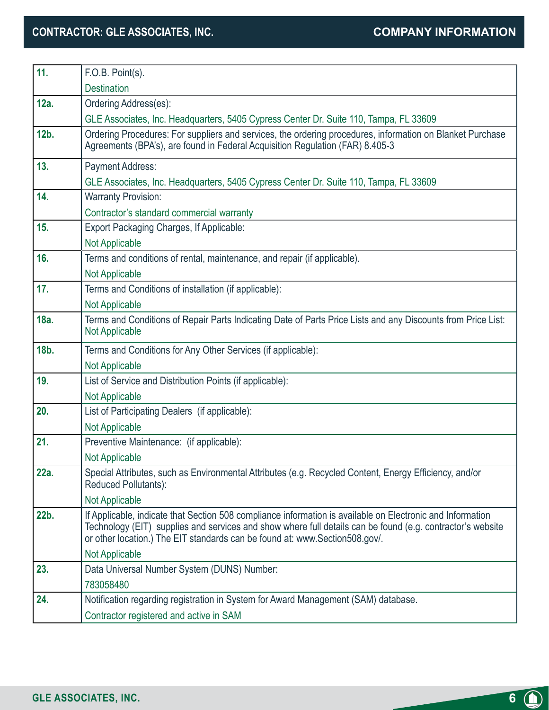### **CONTRACTOR: GLE ASSOCIATES, INC. COMPANY INFORMATION**

| 11.     | F.O.B. Point(s).                                                                                                                                                                                                                                                                                        |
|---------|---------------------------------------------------------------------------------------------------------------------------------------------------------------------------------------------------------------------------------------------------------------------------------------------------------|
|         | <b>Destination</b>                                                                                                                                                                                                                                                                                      |
| 12a.    | Ordering Address(es):                                                                                                                                                                                                                                                                                   |
|         | GLE Associates, Inc. Headquarters, 5405 Cypress Center Dr. Suite 110, Tampa, FL 33609                                                                                                                                                                                                                   |
| $12b$ . | Ordering Procedures: For suppliers and services, the ordering procedures, information on Blanket Purchase<br>Agreements (BPA's), are found in Federal Acquisition Regulation (FAR) 8.405-3                                                                                                              |
| 13.     | <b>Payment Address:</b>                                                                                                                                                                                                                                                                                 |
|         | GLE Associates, Inc. Headquarters, 5405 Cypress Center Dr. Suite 110, Tampa, FL 33609                                                                                                                                                                                                                   |
| 14.     | <b>Warranty Provision:</b>                                                                                                                                                                                                                                                                              |
|         | Contractor's standard commercial warranty                                                                                                                                                                                                                                                               |
| 15.     | Export Packaging Charges, If Applicable:                                                                                                                                                                                                                                                                |
|         | <b>Not Applicable</b>                                                                                                                                                                                                                                                                                   |
| 16.     | Terms and conditions of rental, maintenance, and repair (if applicable).                                                                                                                                                                                                                                |
|         | Not Applicable                                                                                                                                                                                                                                                                                          |
| 17.     | Terms and Conditions of installation (if applicable):                                                                                                                                                                                                                                                   |
|         | Not Applicable                                                                                                                                                                                                                                                                                          |
| 18a.    | Terms and Conditions of Repair Parts Indicating Date of Parts Price Lists and any Discounts from Price List:<br><b>Not Applicable</b>                                                                                                                                                                   |
| 18b.    | Terms and Conditions for Any Other Services (if applicable):                                                                                                                                                                                                                                            |
|         | <b>Not Applicable</b>                                                                                                                                                                                                                                                                                   |
| 19.     | List of Service and Distribution Points (if applicable):                                                                                                                                                                                                                                                |
|         | <b>Not Applicable</b>                                                                                                                                                                                                                                                                                   |
|         |                                                                                                                                                                                                                                                                                                         |
| 20.     | List of Participating Dealers (if applicable):                                                                                                                                                                                                                                                          |
|         | Not Applicable                                                                                                                                                                                                                                                                                          |
| 21.     | Preventive Maintenance: (if applicable):                                                                                                                                                                                                                                                                |
|         | <b>Not Applicable</b>                                                                                                                                                                                                                                                                                   |
| 22a.    | Special Attributes, such as Environmental Attributes (e.g. Recycled Content, Energy Efficiency, and/or<br>Reduced Pollutants):                                                                                                                                                                          |
|         | <b>Not Applicable</b>                                                                                                                                                                                                                                                                                   |
| 22b.    | If Applicable, indicate that Section 508 compliance information is available on Electronic and Information<br>Technology (EIT) supplies and services and show where full details can be found (e.g. contractor's website<br>or other location.) The EIT standards can be found at: www.Section508.gov/. |
|         | <b>Not Applicable</b>                                                                                                                                                                                                                                                                                   |
| 23.     | Data Universal Number System (DUNS) Number:                                                                                                                                                                                                                                                             |
|         | 783058480                                                                                                                                                                                                                                                                                               |
| 24.     | Notification regarding registration in System for Award Management (SAM) database.                                                                                                                                                                                                                      |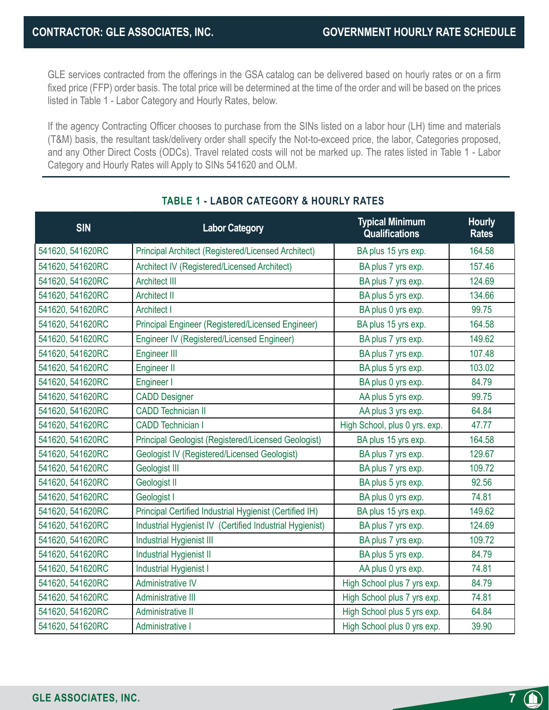**7**

GLE services contracted from the offerings in the GSA catalog can be delivered based on hourly rates or on a firm fixed price (FFP) order basis. The total price will be determined at the time of the order and will be based on the prices listed in Table 1 - Labor Category and Hourly Rates, below.

If the agency Contracting Officer chooses to purchase from the SINs listed on a labor hour (LH) time and materials (T&M) basis, the resultant task/delivery order shall specify the Not-to-exceed price, the labor, Categories proposed, and any Other Direct Costs (ODCs). Travel related costs will not be marked up. The rates listed in Table 1 - Labor Category and Hourly Rates will Apply to SINs 541620 and OLM.

| <b>SIN</b>       | <b>Labor Category</b>                                    | <b>Typical Minimum</b><br><b>Qualifications</b> | <b>Hourly</b><br><b>Rates</b> |
|------------------|----------------------------------------------------------|-------------------------------------------------|-------------------------------|
| 541620, 541620RC | Principal Architect (Registered/Licensed Architect)      | BA plus 15 yrs exp.                             | 164.58                        |
| 541620, 541620RC | Architect IV (Registered/Licensed Architect)             | BA plus 7 yrs exp.                              | 157.46                        |
| 541620, 541620RC | <b>Architect III</b>                                     | BA plus 7 yrs exp.                              | 124.69                        |
| 541620, 541620RC | <b>Architect II</b>                                      | BA plus 5 yrs exp.                              | 134.66                        |
| 541620, 541620RC | <b>Architect I</b>                                       | BA plus 0 yrs exp.                              | 99.75                         |
| 541620, 541620RC | Principal Engineer (Registered/Licensed Engineer)        | BA plus 15 yrs exp.                             | 164.58                        |
| 541620, 541620RC | Engineer IV (Registered/Licensed Engineer)               | BA plus 7 yrs exp.                              | 149.62                        |
| 541620, 541620RC | <b>Engineer III</b>                                      | BA plus 7 yrs exp.                              | 107.48                        |
| 541620, 541620RC | <b>Engineer II</b>                                       | BA plus 5 yrs exp.                              | 103.02                        |
| 541620, 541620RC | Engineer I                                               | BA plus 0 yrs exp.                              | 84.79                         |
| 541620, 541620RC | <b>CADD Designer</b>                                     | AA plus 5 yrs exp.                              | 99.75                         |
| 541620, 541620RC | <b>CADD Technician II</b>                                | AA plus 3 yrs exp.                              | 64.84                         |
| 541620, 541620RC | <b>CADD Technician I</b>                                 | High School, plus 0 yrs. exp.                   | 47.77                         |
| 541620, 541620RC | Principal Geologist (Registered/Licensed Geologist)      | BA plus 15 yrs exp.                             | 164.58                        |
| 541620, 541620RC | <b>Geologist IV (Registered/Licensed Geologist)</b>      | BA plus 7 yrs exp.                              | 129.67                        |
| 541620, 541620RC | Geologist III                                            | BA plus 7 yrs exp.                              | 109.72                        |
| 541620, 541620RC | Geologist II                                             | BA plus 5 yrs exp.                              | 92.56                         |
| 541620, 541620RC | Geologist I                                              | BA plus 0 yrs exp.                              | 74.81                         |
| 541620, 541620RC | Principal Certified Industrial Hygienist (Certified IH)  | BA plus 15 yrs exp.                             | 149.62                        |
| 541620, 541620RC | Industrial Hygienist IV (Certified Industrial Hygienist) | BA plus 7 yrs exp.                              | 124.69                        |
| 541620, 541620RC | Industrial Hygienist III                                 | BA plus 7 yrs exp.                              | 109.72                        |
| 541620, 541620RC | Industrial Hygienist II                                  | BA plus 5 yrs exp.                              | 84.79                         |
| 541620, 541620RC | Industrial Hygienist I                                   | AA plus 0 yrs exp.                              | 74.81                         |
| 541620, 541620RC | Administrative IV                                        | High School plus 7 yrs exp.                     | 84.79                         |
| 541620, 541620RC | <b>Administrative III</b>                                | High School plus 7 yrs exp.                     | 74.81                         |
| 541620, 541620RC | Administrative II                                        | High School plus 5 yrs exp.                     | 64.84                         |
| 541620, 541620RC | Administrative I                                         | High School plus 0 yrs exp.                     | 39.90                         |

#### **TABLE 1 - LABOR CATEGORY & HOURLY RATES**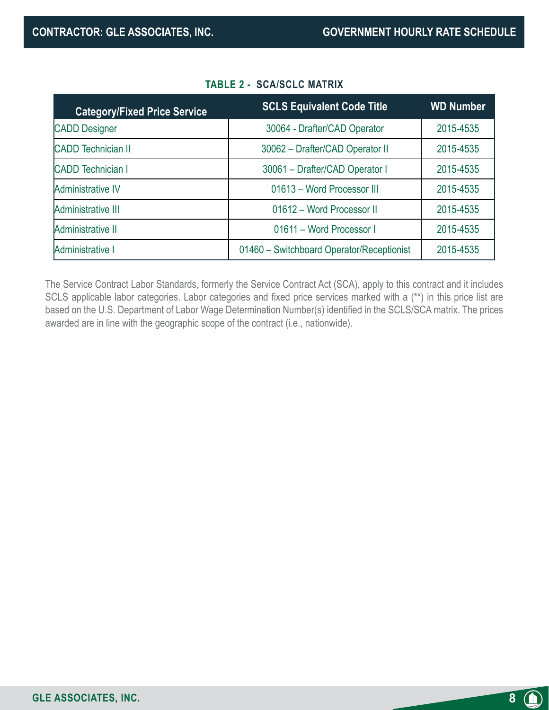| <b>Category/Fixed Price Service</b> | <b>SCLS Equivalent Code Title</b>         | <b>WD Number</b> |
|-------------------------------------|-------------------------------------------|------------------|
| <b>CADD Designer</b>                | 30064 - Drafter/CAD Operator              | 2015-4535        |
| <b>CADD</b> Technician II           | 30062 - Drafter/CAD Operator II           | 2015-4535        |
| <b>CADD Technician I</b>            | 30061 - Drafter/CAD Operator I            | 2015-4535        |
| Administrative IV                   | 01613 - Word Processor III                | 2015-4535        |
| Administrative III                  | 01612 - Word Processor II                 | 2015-4535        |
| Administrative II                   | 01611 - Word Processor I                  | 2015-4535        |
| Administrative I                    | 01460 - Switchboard Operator/Receptionist | 2015-4535        |

#### **TABLE 2 - SCA/SCLC MATRIX**

The Service Contract Labor Standards, formerly the Service Contract Act (SCA), apply to this contract and it includes SCLS applicable labor categories. Labor categories and fixed price services marked with a (\*\*) in this price list are based on the U.S. Department of Labor Wage Determination Number(s) identified in the SCLS/SCA matrix. The prices awarded are in line with the geographic scope of the contract (i.e., nationwide).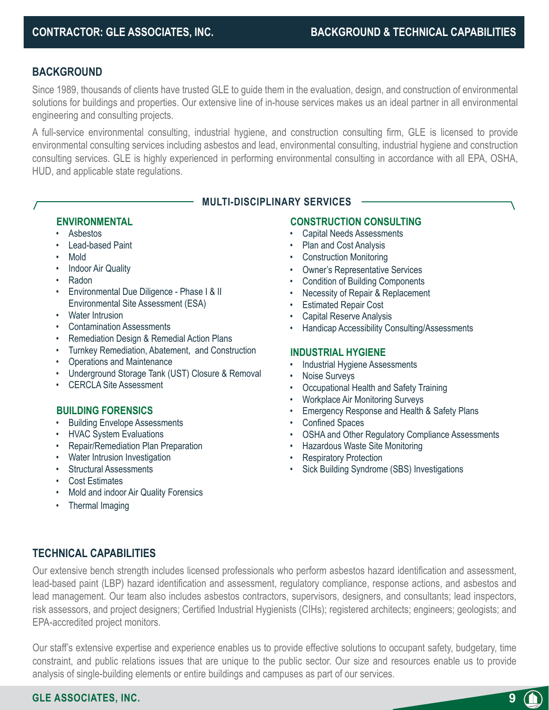#### **BACKGROUND**

Since 1989, thousands of clients have trusted GLE to guide them in the evaluation, design, and construction of environmental solutions for buildings and properties. Our extensive line of in-house services makes us an ideal partner in all environmental engineering and consulting projects.

A full-service environmental consulting, industrial hygiene, and construction consulting firm, GLE is licensed to provide environmental consulting services including asbestos and lead, environmental consulting, industrial hygiene and construction consulting services. GLE is highly experienced in performing environmental consulting in accordance with all EPA, OSHA, HUD, and applicable state regulations.

#### **MULTI-DISCIPLINARY SERVICES**

#### **ENVIRONMENTAL**

- Asbestos
- Lead-based Paint
- Mold
- Indoor Air Quality
- Radon
- Environmental Due Diligence Phase I & II Environmental Site Assessment (ESA)
- Water Intrusion
- Contamination Assessments
- Remediation Design & Remedial Action Plans
- Turnkey Remediation, Abatement, and Construction
- Operations and Maintenance
- Underground Storage Tank (UST) Closure & Removal
- CERCLA Site Assessment

#### **BUILDING FORENSICS**

- Building Envelope Assessments
- HVAC System Evaluations
- Repair/Remediation Plan Preparation
- Water Intrusion Investigation
- Structural Assessments
- Cost Estimates
- Mold and indoor Air Quality Forensics
- Thermal Imaging

#### **CONSTRUCTION CONSULTING**

- Capital Needs Assessments
- Plan and Cost Analysis
- Construction Monitoring
- Owner's Representative Services
- Condition of Building Components
- Necessity of Repair & Replacement
- **Estimated Repair Cost**
- Capital Reserve Analysis
- Handicap Accessibility Consulting/Assessments

#### **INDUSTRIAL HYGIENE**

- Industrial Hygiene Assessments
- Noise Surveys
- Occupational Health and Safety Training
- Workplace Air Monitoring Surveys
- Emergency Response and Health & Safety Plans
- Confined Spaces
- OSHA and Other Regulatory Compliance Assessments

**9**

- Hazardous Waste Site Monitoring
- **Respiratory Protection**
- Sick Building Syndrome (SBS) Investigations

#### **TECHNICAL CAPABILITIES**

Our extensive bench strength includes licensed professionals who perform asbestos hazard identification and assessment, lead-based paint (LBP) hazard identification and assessment, regulatory compliance, response actions, and asbestos and lead management. Our team also includes asbestos contractors, supervisors, designers, and consultants; lead inspectors, risk assessors, and project designers; Certified Industrial Hygienists (CIHs); registered architects; engineers; geologists; and EPA-accredited project monitors.

Our staff's extensive expertise and experience enables us to provide effective solutions to occupant safety, budgetary, time constraint, and public relations issues that are unique to the public sector. Our size and resources enable us to provide analysis of single-building elements or entire buildings and campuses as part of our services.

#### **GLE ASSOCIATES, INC.**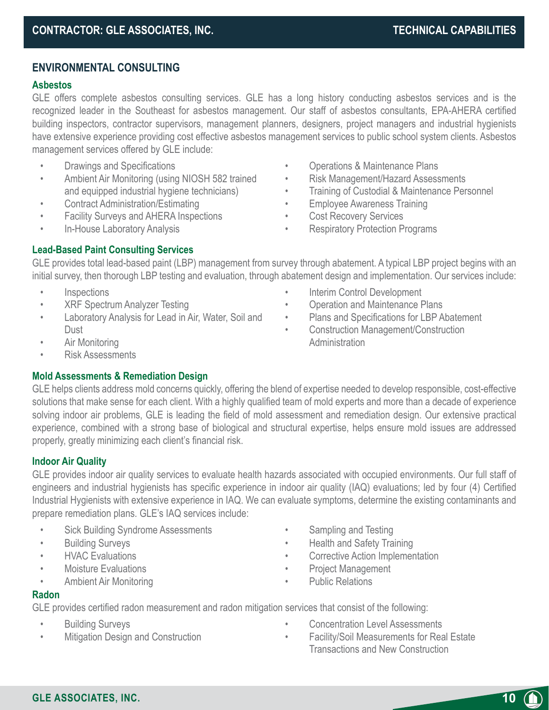#### **ENVIRONMENTAL CONSULTING**

#### **Asbestos**

GLE offers complete asbestos consulting services. GLE has a long history conducting asbestos services and is the recognized leader in the Southeast for asbestos management. Our staff of asbestos consultants, EPA-AHERA certified building inspectors, contractor supervisors, management planners, designers, project managers and industrial hygienists have extensive experience providing cost effective asbestos management services to public school system clients. Asbestos management services offered by GLE include:

- Drawings and Specifications
- Ambient Air Monitoring (using NIOSH 582 trained and equipped industrial hygiene technicians)
- Contract Administration/Estimating
- Facility Surveys and AHERA Inspections
- In-House Laboratory Analysis
- Operations & Maintenance Plans
- Risk Management/Hazard Assessments
- Training of Custodial & Maintenance Personnel
- **Employee Awareness Training**
- Cost Recovery Services

**Administration** 

• Respiratory Protection Programs

Interim Control Development • Operation and Maintenance Plans • Plans and Specifications for LBP Abatement • Construction Management/Construction

#### **Lead-Based Paint Consulting Services**

GLE provides total lead-based paint (LBP) management from survey through abatement. A typical LBP project begins with an initial survey, then thorough LBP testing and evaluation, through abatement design and implementation. Our services include:

- Inspections
- XRF Spectrum Analyzer Testing
- Laboratory Analysis for Lead in Air, Water, Soil and Dust
- Air Monitoring
- Risk Assessments

#### **Mold Assessments & Remediation Design**

GLE helps clients address mold concerns quickly, offering the blend of expertise needed to develop responsible, cost-effective solutions that make sense for each client. With a highly qualified team of mold experts and more than a decade of experience solving indoor air problems, GLE is leading the field of mold assessment and remediation design. Our extensive practical experience, combined with a strong base of biological and structural expertise, helps ensure mold issues are addressed properly, greatly minimizing each client's financial risk.

#### **Indoor Air Quality**

GLE provides indoor air quality services to evaluate health hazards associated with occupied environments. Our full staff of engineers and industrial hygienists has specific experience in indoor air quality (IAQ) evaluations; led by four (4) Certified Industrial Hygienists with extensive experience in IAQ. We can evaluate symptoms, determine the existing contaminants and prepare remediation plans. GLE's IAQ services include:

- Sick Building Syndrome Assessments
- Building Surveys
- HVAC Evaluations
- Moisture Evaluations
- Ambient Air Monitoring
- Sampling and Testing
- Health and Safety Training
- Corrective Action Implementation
- Project Management
- Public Relations

#### **Radon**

GLE provides certified radon measurement and radon mitigation services that consist of the following:

- Building Surveys
- Mitigation Design and Construction
- Concentration Level Assessments
- Facility/Soil Measurements for Real Estate Transactions and New Construction

**10**

**GLE ASSOCIATES, INC.**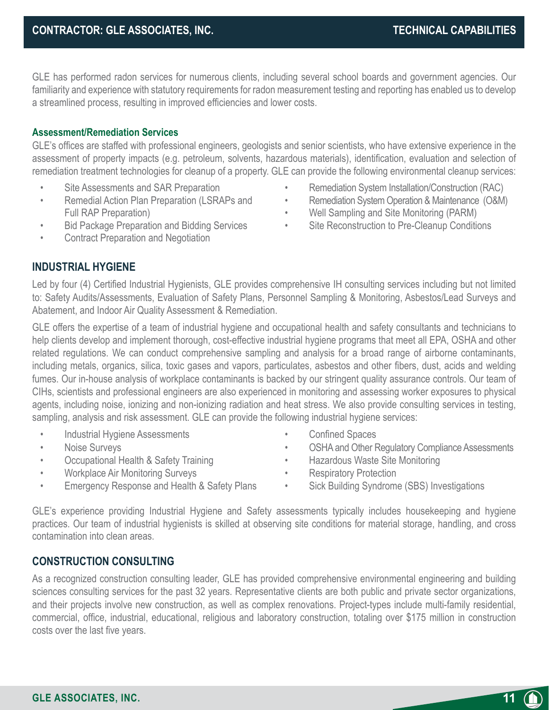• Remediation System Installation/Construction (RAC) • Remediation System Operation & Maintenance (O&M)

• Well Sampling and Site Monitoring (PARM) • Site Reconstruction to Pre-Cleanup Conditions

GLE has performed radon services for numerous clients, including several school boards and government agencies. Our familiarity and experience with statutory requirements for radon measurement testing and reporting has enabled us to develop a streamlined process, resulting in improved efficiencies and lower costs.

#### **Assessment/Remediation Services**

GLE's offices are staffed with professional engineers, geologists and senior scientists, who have extensive experience in the assessment of property impacts (e.g. petroleum, solvents, hazardous materials), identification, evaluation and selection of remediation treatment technologies for cleanup of a property. GLE can provide the following environmental cleanup services:

- Site Assessments and SAR Preparation
- Remedial Action Plan Preparation (LSRAPs and Full RAP Preparation)
- Bid Package Preparation and Bidding Services
- Contract Preparation and Negotiation

#### **INDUSTRIAL HYGIENE**

Led by four (4) Certified Industrial Hygienists, GLE provides comprehensive IH consulting services including but not limited to: Safety Audits/Assessments, Evaluation of Safety Plans, Personnel Sampling & Monitoring, Asbestos/Lead Surveys and Abatement, and Indoor Air Quality Assessment & Remediation.

GLE offers the expertise of a team of industrial hygiene and occupational health and safety consultants and technicians to help clients develop and implement thorough, cost-effective industrial hygiene programs that meet all EPA, OSHA and other related regulations. We can conduct comprehensive sampling and analysis for a broad range of airborne contaminants, including metals, organics, silica, toxic gases and vapors, particulates, asbestos and other fibers, dust, acids and welding fumes. Our in-house analysis of workplace contaminants is backed by our stringent quality assurance controls. Our team of CIHs, scientists and professional engineers are also experienced in monitoring and assessing worker exposures to physical agents, including noise, ionizing and non-ionizing radiation and heat stress. We also provide consulting services in testing, sampling, analysis and risk assessment. GLE can provide the following industrial hygiene services:

- Industrial Hygiene Assessments
- Noise Surveys
- Occupational Health & Safety Training
- Workplace Air Monitoring Surveys
- Emergency Response and Health & Safety Plans
- Confined Spaces
- OSHA and Other Regulatory Compliance Assessments

**11**

- Hazardous Waste Site Monitoring
- Respiratory Protection
- Sick Building Syndrome (SBS) Investigations

GLE's experience providing Industrial Hygiene and Safety assessments typically includes housekeeping and hygiene practices. Our team of industrial hygienists is skilled at observing site conditions for material storage, handling, and cross contamination into clean areas.

#### **CONSTRUCTION CONSULTING**

As a recognized construction consulting leader, GLE has provided comprehensive environmental engineering and building sciences consulting services for the past 32 years. Representative clients are both public and private sector organizations, and their projects involve new construction, as well as complex renovations. Project-types include multi-family residential, commercial, office, industrial, educational, religious and laboratory construction, totaling over \$175 million in construction costs over the last five years.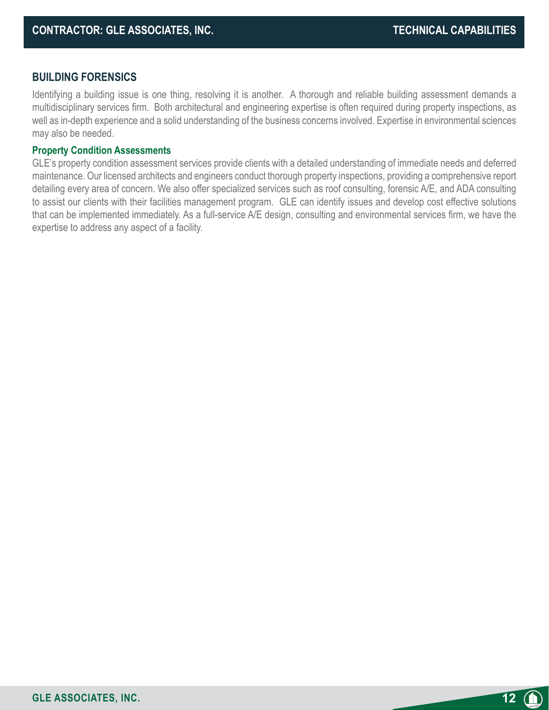**12**

#### **BUILDING FORENSICS**

Identifying a building issue is one thing, resolving it is another. A thorough and reliable building assessment demands a multidisciplinary services firm. Both architectural and engineering expertise is often required during property inspections, as well as in-depth experience and a solid understanding of the business concerns involved. Expertise in environmental sciences may also be needed.

#### **Property Condition Assessments**

GLE's property condition assessment services provide clients with a detailed understanding of immediate needs and deferred maintenance. Our licensed architects and engineers conduct thorough property inspections, providing a comprehensive report detailing every area of concern. We also offer specialized services such as roof consulting, forensic A/E, and ADA consulting to assist our clients with their facilities management program. GLE can identify issues and develop cost effective solutions that can be implemented immediately. As a full-service A/E design, consulting and environmental services firm, we have the expertise to address any aspect of a facility.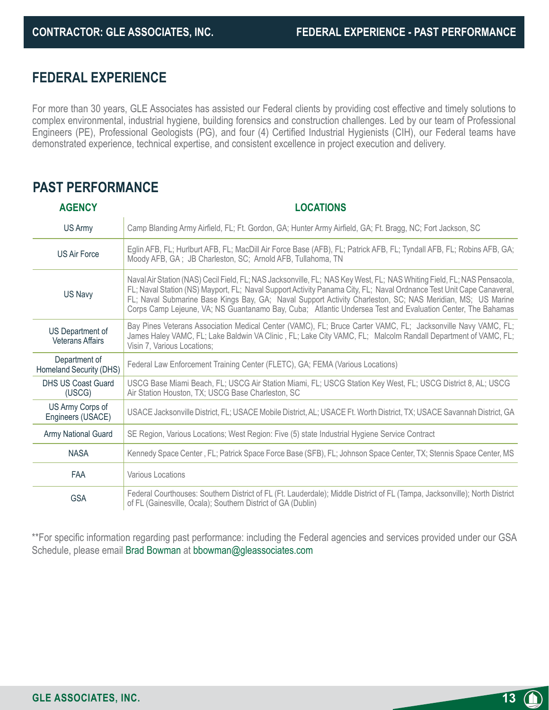**13**

### **FEDERAL EXPERIENCE**

For more than 30 years, GLE Associates has assisted our Federal clients by providing cost effective and timely solutions to complex environmental, industrial hygiene, building forensics and construction challenges. Led by our team of Professional Engineers (PE), Professional Geologists (PG), and four (4) Certified Industrial Hygienists (CIH), our Federal teams have demonstrated experience, technical expertise, and consistent excellence in project execution and delivery.

### **PAST PERFORMANCE**

| <b>AGENCY</b>                               | <b>LOCATIONS</b>                                                                                                                                                                                                                                                                                                                                                                                                                                                           |
|---------------------------------------------|----------------------------------------------------------------------------------------------------------------------------------------------------------------------------------------------------------------------------------------------------------------------------------------------------------------------------------------------------------------------------------------------------------------------------------------------------------------------------|
| US Army                                     | Camp Blanding Army Airfield, FL; Ft. Gordon, GA; Hunter Army Airfield, GA; Ft. Bragg, NC; Fort Jackson, SC                                                                                                                                                                                                                                                                                                                                                                 |
| <b>US Air Force</b>                         | Eglin AFB, FL; Hurlburt AFB, FL; MacDill Air Force Base (AFB), FL; Patrick AFB, FL; Tyndall AFB, FL; Robins AFB, GA;<br>Moody AFB, GA; JB Charleston, SC; Arnold AFB, Tullahoma, TN                                                                                                                                                                                                                                                                                        |
| US Navy                                     | Naval Air Station (NAS) Cecil Field, FL; NAS Jacksonville, FL; NAS Key West, FL; NAS Whiting Field, FL; NAS Pensacola,<br>FL; Naval Station (NS) Mayport, FL; Naval Support Activity Panama City, FL; Naval Ordnance Test Unit Cape Canaveral,<br>FL; Naval Submarine Base Kings Bay, GA; Naval Support Activity Charleston, SC; NAS Meridian, MS; US Marine<br>Corps Camp Lejeune, VA; NS Guantanamo Bay, Cuba; Atlantic Undersea Test and Evaluation Center, The Bahamas |
| US Department of<br><b>Veterans Affairs</b> | Bay Pines Veterans Association Medical Center (VAMC), FL; Bruce Carter VAMC, FL; Jacksonville Navy VAMC, FL;<br>James Haley VAMC, FL; Lake Baldwin VA Clinic, FL; Lake City VAMC, FL; Malcolm Randall Department of VAMC, FL;<br>Visin 7, Various Locations;                                                                                                                                                                                                               |
| Department of<br>Homeland Security (DHS)    | Federal Law Enforcement Training Center (FLETC), GA; FEMA (Various Locations)                                                                                                                                                                                                                                                                                                                                                                                              |
| <b>DHS US Coast Guard</b><br>(USCG)         | USCG Base Miami Beach, FL; USCG Air Station Miami, FL; USCG Station Key West, FL; USCG District 8, AL; USCG<br>Air Station Houston, TX; USCG Base Charleston, SC                                                                                                                                                                                                                                                                                                           |
| US Army Corps of<br>Engineers (USACE)       | USACE Jacksonville District, FL; USACE Mobile District, AL; USACE Ft. Worth District, TX; USACE Savannah District, GA                                                                                                                                                                                                                                                                                                                                                      |
| Army National Guard                         | SE Region, Various Locations; West Region: Five (5) state Industrial Hygiene Service Contract                                                                                                                                                                                                                                                                                                                                                                              |
| <b>NASA</b>                                 | Kennedy Space Center, FL; Patrick Space Force Base (SFB), FL; Johnson Space Center, TX; Stennis Space Center, MS                                                                                                                                                                                                                                                                                                                                                           |
| <b>FAA</b>                                  | Various Locations                                                                                                                                                                                                                                                                                                                                                                                                                                                          |
| <b>GSA</b>                                  | Federal Courthouses: Southern District of FL (Ft. Lauderdale); Middle District of FL (Tampa, Jacksonville); North District<br>of FL (Gainesville, Ocala); Southern District of GA (Dublin)                                                                                                                                                                                                                                                                                 |

\*\*For specific information regarding past performance: including the Federal agencies and services provided under our GSA Schedule, please email Brad Bowman at bbowman@gleassociates.com